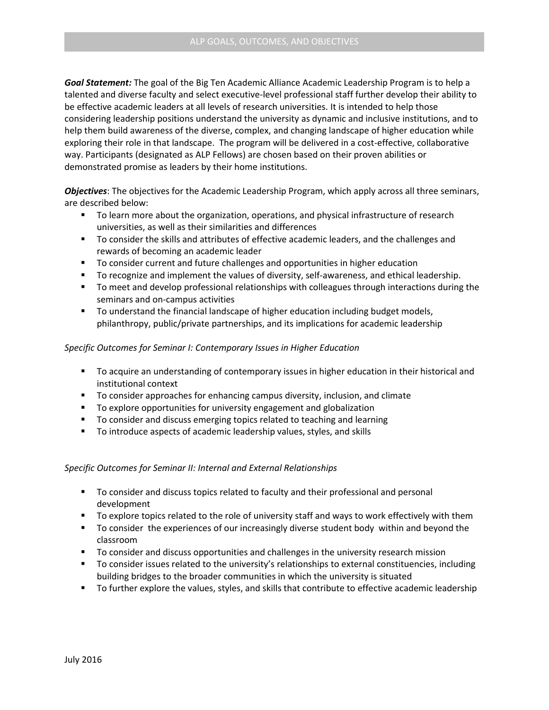*Goal Statement:* The goal of the Big Ten Academic Alliance Academic Leadership Program is to help a talented and diverse faculty and select executive-level professional staff further develop their ability to be effective academic leaders at all levels of research universities. It is intended to help those considering leadership positions understand the university as dynamic and inclusive institutions, and to help them build awareness of the diverse, complex, and changing landscape of higher education while exploring their role in that landscape. The program will be delivered in a cost-effective, collaborative way. Participants (designated as ALP Fellows) are chosen based on their proven abilities or demonstrated promise as leaders by their home institutions.

*Objectives*: The objectives for the Academic Leadership Program, which apply across all three seminars, are described below:

- To learn more about the organization, operations, and physical infrastructure of research universities, as well as their similarities and differences
- **To consider the skills and attributes of effective academic leaders, and the challenges and** rewards of becoming an academic leader
- To consider current and future challenges and opportunities in higher education
- **T** To recognize and implement the values of diversity, self-awareness, and ethical leadership.
- **T** To meet and develop professional relationships with colleagues through interactions during the seminars and on-campus activities
- To understand the financial landscape of higher education including budget models, philanthropy, public/private partnerships, and its implications for academic leadership

## *Specific Outcomes for Seminar I: Contemporary Issues in Higher Education*

- **The act in act is a understanding of contemporary issues in higher education in their historical and** institutional context
- To consider approaches for enhancing campus diversity, inclusion, and climate
- To explore opportunities for university engagement and globalization
- To consider and discuss emerging topics related to teaching and learning
- To introduce aspects of academic leadership values, styles, and skills

## *Specific Outcomes for Seminar II: Internal and External Relationships*

- To consider and discuss topics related to faculty and their professional and personal development
- **T** To explore topics related to the role of university staff and ways to work effectively with them
- To consider the experiences of our increasingly diverse student body within and beyond the classroom
- **THE TO consider and discuss opportunities and challenges in the university research mission**
- **THE TO consider issues related to the university's relationships to external constituencies, including** building bridges to the broader communities in which the university is situated
- To further explore the values, styles, and skills that contribute to effective academic leadership